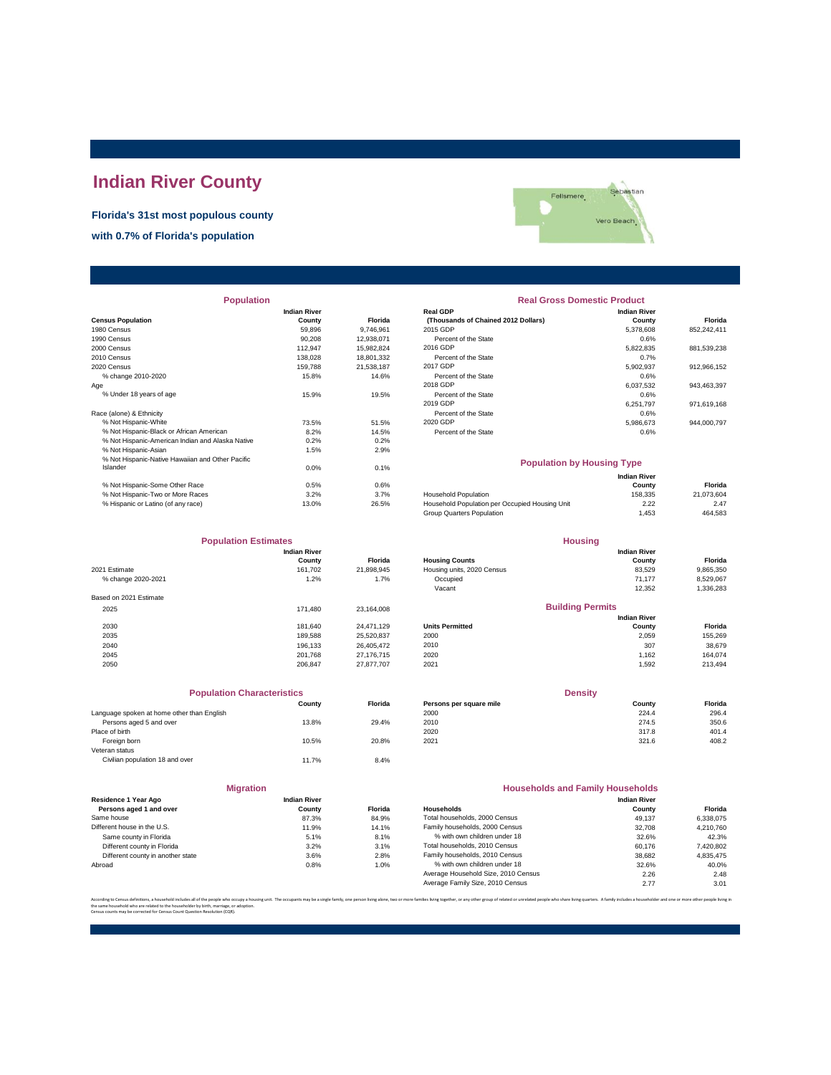## **Indian River County**

## **Florida's 31st most populous county**

**with 0.7% of Florida's population**



| <b>Population</b>                                |                     |                | <b>Real Gross Domestic Product</b>             |                     |             |  |
|--------------------------------------------------|---------------------|----------------|------------------------------------------------|---------------------|-------------|--|
|                                                  | <b>Indian River</b> |                | <b>Real GDP</b>                                | <b>Indian River</b> |             |  |
| <b>Census Population</b>                         | County              | <b>Florida</b> | (Thousands of Chained 2012 Dollars)            | County              | Florida     |  |
| 1980 Census                                      | 59,896              | 9,746,961      | 2015 GDP                                       | 5,378,608           | 852,242,411 |  |
| 1990 Census                                      | 90.208              | 12,938,071     | Percent of the State                           | 0.6%                |             |  |
| 2000 Census                                      | 112,947             | 15,982,824     | 2016 GDP                                       | 5,822,835           | 881,539,238 |  |
| 2010 Census                                      | 138,028             | 18,801,332     | Percent of the State                           | 0.7%                |             |  |
| 2020 Census                                      | 159.788             | 21,538,187     | 2017 GDP                                       | 5,902,937           | 912,966,152 |  |
| % change 2010-2020                               | 15.8%               | 14.6%          | Percent of the State                           | 0.6%                |             |  |
| Age                                              |                     |                | 2018 GDP                                       | 6,037,532           | 943,463,397 |  |
| % Under 18 years of age                          | 15.9%               | 19.5%          | Percent of the State                           | 0.6%                |             |  |
|                                                  |                     |                | 2019 GDP                                       | 6,251,797           | 971,619,168 |  |
| Race (alone) & Ethnicity                         |                     |                | Percent of the State                           | 0.6%                |             |  |
| % Not Hispanic-White                             | 73.5%               | 51.5%          | 2020 GDP                                       | 5,986,673           | 944.000.797 |  |
| % Not Hispanic-Black or African American         | 8.2%                | 14.5%          | Percent of the State                           | 0.6%                |             |  |
| % Not Hispanic-American Indian and Alaska Native | 0.2%                | 0.2%           |                                                |                     |             |  |
| % Not Hispanic-Asian                             | 1.5%                | 2.9%           |                                                |                     |             |  |
| % Not Hispanic-Native Hawaiian and Other Pacific |                     |                | <b>Population by Housing Type</b>              |                     |             |  |
| Islander                                         | 0.0%                | 0.1%           |                                                |                     |             |  |
|                                                  |                     |                |                                                | <b>Indian River</b> |             |  |
| % Not Hispanic-Some Other Race                   | 0.5%                | 0.6%           |                                                | County              | Florida     |  |
| % Not Hispanic-Two or More Races                 | 3.2%                | 3.7%           | Household Population                           | 158,335             | 21,073,604  |  |
| % Hispanic or Latino (of any race)               | 13.0%               | 26.5%          | Household Population per Occupied Housing Unit | 2.22                | 2.47        |  |

| <b>Population</b>                                |                     |                | <b>Real Gross Domestic Product</b>  |                     |             |  |
|--------------------------------------------------|---------------------|----------------|-------------------------------------|---------------------|-------------|--|
|                                                  | <b>Indian River</b> |                | <b>Real GDP</b>                     | <b>Indian River</b> |             |  |
| sus Population                                   | County              | <b>Florida</b> | (Thousands of Chained 2012 Dollars) | County              | Florida     |  |
| 0 Census                                         | 59.896              | 9.746.961      | 2015 GDP                            | 5.378.608           | 852,242,411 |  |
| 0 Census                                         | 90.208              | 12.938.071     | Percent of the State                | 0.6%                |             |  |
| 0 Census                                         | 112.947             | 15.982.824     | 2016 GDP                            | 5,822,835           | 881,539,238 |  |
| 0 Census                                         | 138.028             | 18.801.332     | Percent of the State                | 0.7%                |             |  |
| 0 Census                                         | 159.788             | 21.538.187     | 2017 GDP                            | 5.902.937           | 912,966,152 |  |
| % change 2010-2020                               | 15.8%               | 14.6%          | Percent of the State                | 0.6%                |             |  |
|                                                  |                     |                | 2018 GDP                            | 6,037,532           | 943,463,397 |  |
| % Under 18 years of age                          | 15.9%               | 19.5%          | Percent of the State                | 0.6%                |             |  |
|                                                  |                     |                | 2019 GDP                            | 6.251.797           | 971,619,168 |  |
| e (alone) & Ethnicity                            |                     |                | Percent of the State                | 0.6%                |             |  |
| % Not Hispanic-White                             | 73.5%               | 51.5%          | 2020 GDP                            | 5.986.673           | 944.000.797 |  |
| % Not Hispanic-Black or African American         | 8.2%                | 14.5%          | Percent of the State                | 0.6%                |             |  |
| % Not Hispanic-American Indian and Alaska Native | 0.2%                | 0.2%           |                                     |                     |             |  |

| % Not Hispanic-Native Hawaiian and Other Pacific<br>Islander | 0.0%  | 0.1%  | <b>Population by Housing Type</b>              |                     |            |
|--------------------------------------------------------------|-------|-------|------------------------------------------------|---------------------|------------|
|                                                              |       |       |                                                | <b>Indian River</b> |            |
| % Not Hispanic-Some Other Race                               | 0.5%  | 0.6%  |                                                | County              | Florida    |
| % Not Hispanic-Two or More Races                             | 3.2%  | 3.7%  | <b>Household Population</b>                    | 158,335             | 21.073.604 |
| % Hispanic or Latino (of any race)                           | 13.0% | 26.5% | Household Population per Occupied Housing Unit | 2.22                | 2.47       |
|                                                              |       |       | Group Quarters Population                      | .453                | 464.583    |
|                                                              |       |       |                                                |                     |            |

**Density**

**Housing**

**Indian River County Florida**

**Florida**<br>9,865,350<br>8,529,067

**Florida**<br>155,269

| <b>Population Estimates</b> |                     |            | <b>Housing</b>             |                         |           |
|-----------------------------|---------------------|------------|----------------------------|-------------------------|-----------|
|                             | <b>Indian River</b> |            |                            | <b>Indian River</b>     |           |
|                             | County              | Florida    | <b>Housing Counts</b>      | County                  | Florida   |
| 2021 Estimate               | 161.702             | 21,898,945 | Housing units, 2020 Census | 83,529                  | 9,865,350 |
| % change 2020-2021          | 1.2%                | 1.7%       | Occupied                   | 71.177                  | 8,529,067 |
|                             |                     |            | Vacant                     | 12,352                  | 1,336,283 |
| Based on 2021 Estimate      |                     |            |                            |                         |           |
| 2025                        | 171.480             | 23.164.008 |                            | <b>Building Permits</b> |           |
|                             |                     |            |                            | <b>Indian River</b>     |           |
| 2030                        | 181.640             | 24.471.129 | <b>Units Permitted</b>     | County                  | Florida   |
| 2035                        | 189,588             | 25,520,837 | 2000                       | 2,059                   | 155,269   |
| 2040                        | 196.133             | 26,405,472 | 2010                       | 307                     | 38,679    |
| 2045                        | 201.768             | 27.176.715 | 2020                       | 1,162                   | 164,074   |
| 2050                        | 206,847             | 27,877,707 | 2021                       | 1.592                   | 213,494   |
|                             |                     |            |                            |                         |           |

| <b>Population Characteristics</b>          |        |                |
|--------------------------------------------|--------|----------------|
|                                            | County | <b>Florida</b> |
| Language spoken at home other than English |        |                |
| Persons aged 5 and over                    | 13.8%  | 29.4%          |
| Place of birth                             |        |                |
| Foreign born                               | 10.5%  | 20.8%          |
| Veteran status                             |        |                |
| Civilian population 18 and over            | 11.7%  | 8.4%           |

|                                            | County              | <b>Florida</b> | Persons per square mile | County                                  | Florida |
|--------------------------------------------|---------------------|----------------|-------------------------|-----------------------------------------|---------|
| Language spoken at home other than English |                     |                | 2000                    | 224.4                                   | 296.4   |
| Persons aged 5 and over                    | 13.8%               | 29.4%          | 2010                    | 274.5                                   | 350.6   |
| Place of birth                             |                     |                | 2020                    | 317.8                                   | 401.4   |
| Foreign born                               | 10.5%               | 20.8%          | 2021                    | 321.6                                   | 408.2   |
| Veteran status                             |                     |                |                         |                                         |         |
| Civilian population 18 and over            | 11.7%               | 8.4%           |                         |                                         |         |
|                                            | <b>Migration</b>    |                |                         | <b>Households and Family Households</b> |         |
| Residence 1 Year Ago                       | <b>Indian River</b> |                |                         | <b>Indian River</b>                     |         |
| Persons aged 1 and over                    | County              | <b>Florida</b> | <b>Households</b>       | County                                  | Florida |
| .                                          |                     | .              |                         |                                         |         |

| Residence 1 Year Ago              | <b>Indian River</b> |                |                                     | <b>Indian River</b> |                |
|-----------------------------------|---------------------|----------------|-------------------------------------|---------------------|----------------|
| Persons aged 1 and over           | County              | <b>Florida</b> | Households                          | County              | <b>Florida</b> |
| Same house                        | 87.3%               | 84.9%          | Total households, 2000 Census       | 49.137              | 6.338.075      |
| Different house in the U.S.       | 11.9%               | 14.1%          | Family households, 2000 Census      | 32,708              | 4,210,760      |
| Same county in Florida            | 5.1%                | 8.1%           | % with own children under 18        | 32.6%               | 42.3%          |
| Different county in Florida       | 3.2%                | 3.1%           | Total households, 2010 Census       | 60.176              | 7,420,802      |
| Different county in another state | 3.6%                | 2.8%           | Family households, 2010 Census      | 38,682              | 4.835.475      |
| Abroad                            | 0.8%                | 1.0%           | % with own children under 18        | 32.6%               | 40.0%          |
|                                   |                     |                | Average Household Size, 2010 Census | 2.26                | 2.48           |
|                                   |                     |                | Average Family Size, 2010 Census    | 2.77                | 3.01           |

According to Census definitions, a household includes all of the people who occupy a housing unit. The occupants may be a single family, one person living back, two or more families living together, or any other group of r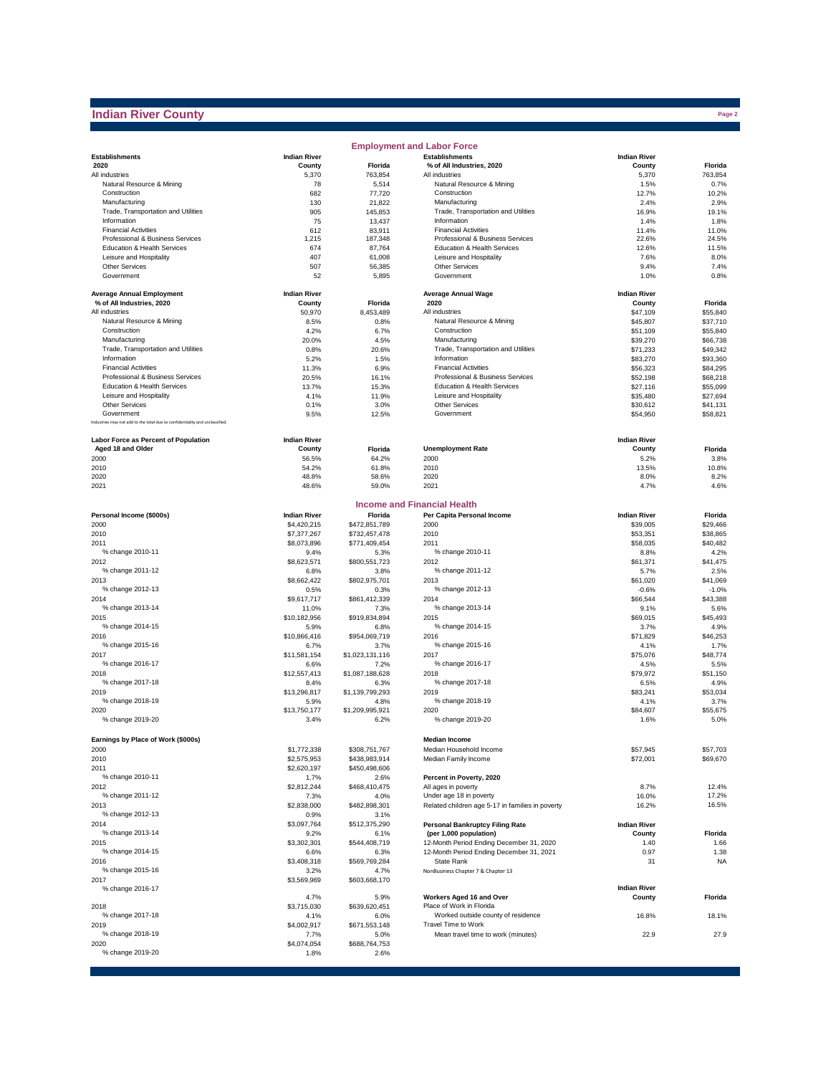## **Indian River County**

|                                                                              |                      |                       | <b>Employment and Labor Force</b>                                |                      |                      |
|------------------------------------------------------------------------------|----------------------|-----------------------|------------------------------------------------------------------|----------------------|----------------------|
| <b>Establishments</b>                                                        | <b>Indian River</b>  |                       | <b>Establishments</b>                                            | <b>Indian River</b>  |                      |
| 2020                                                                         | County               | Florida               | % of All Industries, 2020                                        | County               | Florida              |
| All industries                                                               | 5,370                | 763,854               | All industries                                                   | 5,370                | 763,854              |
| Natural Resource & Mining                                                    | 78                   | 5,514                 | Natural Resource & Mining<br>Construction                        | 1.5%                 | 0.7%                 |
| Construction<br>Manufacturing                                                | 682<br>130           | 77,720<br>21,822      | Manufacturing                                                    | 12.7%<br>2.4%        | 10.2%<br>2.9%        |
| Trade, Transportation and Utilities                                          | 905                  | 145.853               | Trade, Transportation and Utilities                              | 16.9%                | 19.1%                |
| Information                                                                  | 75                   | 13,437                | Information                                                      | 1.4%                 | 1.8%                 |
| <b>Financial Activities</b>                                                  | 612                  | 83,911                | <b>Financial Activities</b>                                      | 11.4%                | 11.0%                |
| Professional & Business Services                                             | 1,215                | 187,348               | Professional & Business Services                                 | 22.6%                | 24.5%                |
| Education & Health Services                                                  | 674                  | 87,764                | Education & Health Services                                      | 12.6%                | 11.5%                |
| Leisure and Hospitality                                                      | 407                  | 61,008                | Leisure and Hospitality                                          | 7.6%                 | 8.0%                 |
| <b>Other Services</b>                                                        | 507                  | 56,385                | Other Services                                                   | 9.4%                 | 7.4%                 |
| Government                                                                   | 52                   | 5,895                 | Government                                                       | 1.0%                 | 0.8%                 |
| <b>Average Annual Employment</b>                                             | <b>Indian River</b>  |                       | <b>Average Annual Wage</b>                                       | <b>Indian River</b>  |                      |
| % of All Industries, 2020                                                    | County               | Florida               | 2020                                                             | County               | Florida              |
| All industries                                                               | 50,970               | 8,453,489             | All industries                                                   | \$47,109             | \$55,840             |
| Natural Resource & Mining                                                    | 8.5%                 | 0.8%                  | Natural Resource & Mining                                        | \$45,807             | \$37,710             |
| Construction                                                                 | 4.2%                 | 6.7%                  | Construction                                                     | \$51,109             | \$55,840             |
| Manufacturing                                                                | 20.0%                | 4.5%                  | Manufacturing                                                    | \$39,270             | \$66,738             |
| Trade, Transportation and Utilities<br>Information                           | 0.8%                 | 20.6%                 | Trade, Transportation and Utilities<br>Information               | \$71,233             | \$49,342             |
| <b>Financial Activities</b>                                                  | 5.2%<br>11.3%        | 1.5%<br>6.9%          | <b>Financial Activities</b>                                      | \$83,270<br>\$56,323 | \$93,360<br>\$84,295 |
| Professional & Business Services                                             | 20.5%                | 16.1%                 | Professional & Business Services                                 | \$52,198             | \$68,218             |
| Education & Health Services                                                  | 13.7%                | 15.3%                 | Education & Health Services                                      | \$27,116             | \$55,099             |
| Leisure and Hospitality                                                      | 4.1%                 | 11.9%                 | Leisure and Hospitality                                          | \$35,480             | \$27,694             |
| <b>Other Services</b>                                                        | 0.1%                 | 3.0%                  | Other Services                                                   | \$30,612             | \$41.131             |
| Government                                                                   | 9.5%                 | 12.5%                 | Government                                                       | \$54,950             | \$58,821             |
| Industries may not add to the total due to confidentiality and unclassified. |                      |                       |                                                                  |                      |                      |
| <b>Labor Force as Percent of Population</b>                                  | <b>Indian River</b>  |                       |                                                                  | <b>Indian River</b>  |                      |
| Aged 18 and Older                                                            | County               | <b>Florida</b>        | <b>Unemployment Rate</b>                                         | County               | Florida              |
| 2000                                                                         | 56.5%                | 64.2%                 | 2000                                                             | 5.2%                 | 3.8%                 |
| 2010                                                                         | 54.2%                | 61.8%                 | 2010                                                             | 13.5%                | 10.8%                |
| 2020                                                                         | 48.8%                | 58.6%                 | 2020                                                             | 8.0%                 | 8.2%                 |
| 2021                                                                         | 48.6%                | 59.0%                 | 2021                                                             | 4.7%                 | 4.6%                 |
|                                                                              |                      |                       |                                                                  |                      |                      |
| Personal Income (\$000s)                                                     | <b>Indian River</b>  | Florida               | <b>Income and Financial Health</b><br>Per Capita Personal Income | <b>Indian River</b>  | Florida              |
| 2000                                                                         | \$4,420,215          | \$472,851,789         | 2000                                                             | \$39,005             | \$29,466             |
| 2010                                                                         | \$7,377,267          | \$732,457,478         | 2010                                                             | \$53,351             | \$38,865             |
| 2011                                                                         | \$8,073,896          | \$771,409,454         | 2011                                                             | \$58,035             | \$40,482             |
| % change 2010-11                                                             | 9.4%                 | 5.3%                  | % change 2010-11                                                 | 8.8%                 | 4.2%                 |
| 2012                                                                         | \$8,623,571          | \$800,551,723         | 2012                                                             | \$61,371             | \$41,475             |
| % change 2011-12                                                             | 6.8%                 | 3.8%                  | % change 2011-12                                                 | 5.7%                 | 2.5%                 |
| 2013                                                                         | \$8,662,422          | \$802,975,701         | 2013                                                             | \$61,020             | \$41,069             |
| % change 2012-13                                                             | 0.5%                 | 0.3%                  | % change 2012-13                                                 | $-0.6%$              | $-1.0%$              |
| 2014                                                                         | \$9,617,717          | \$861,412,339         | 2014                                                             | \$66,544             | \$43,388             |
| % change 2013-14                                                             | 11.0%                | 7.3%                  | % change 2013-14                                                 | 9.1%                 | 5.6%                 |
| 2015<br>% change 2014-15                                                     | \$10,182,956         | \$919,834,894         | 2015<br>% change 2014-15                                         | \$69,015             | \$45,493             |
| 2016                                                                         | 5.9%<br>\$10,866,416 | 6.8%<br>\$954,069,719 | 2016                                                             | 3.7%<br>\$71,829     | 4.9%<br>\$46,253     |
| % change 2015-16                                                             | 6.7%                 | 3.7%                  | % change 2015-16                                                 | 4.1%                 | 1.7%                 |
| 2017                                                                         | \$11,581,154         | \$1,023,131,116       | 2017                                                             | \$75,076             | \$48,774             |
| % change 2016-17                                                             | 6.6%                 | 7.2%                  | % change 2016-17                                                 | 4.5%                 | 5.5%                 |
| 2018                                                                         | \$12,557,413         | \$1,087,188,628       | 2018                                                             | \$79,972             | \$51,150             |
| % change 2017-18                                                             | 8.4%                 | 6.3%                  | % change 2017-18                                                 | 6.5%                 | 4.9%                 |
| 2019                                                                         | \$13,296,817         | \$1,139,799,293       | 2019                                                             | \$83,241             | \$53,034             |
| % change 2018-19                                                             | 5.9%                 | 4.8%                  | % change 2018-19                                                 | 4.1%                 | 3.7%                 |
| 2020                                                                         | \$13,750,177         | \$1,209,995,921       | 2020                                                             | \$84,607             | \$55,675             |
| % change 2019-20                                                             | 3.4%                 | 6.2%                  | % change 2019-20                                                 | 1.6%                 | 5.0%                 |
| Earnings by Place of Work (\$000s)                                           |                      |                       | <b>Median Income</b>                                             |                      |                      |
| 2000                                                                         | \$1,772,338          | \$308,751,767         | Median Household Income                                          | \$57,945             | \$57,703             |
| 2010                                                                         | \$2,575,953          | \$438,983,914         | Median Family Income                                             | \$72,001             | \$69,670             |
| 2011                                                                         | \$2,620,197          | \$450,498,606         |                                                                  |                      |                      |
| % change 2010-11                                                             | 1.7%                 | 2.6%                  | Percent in Poverty, 2020                                         |                      |                      |
| 2012                                                                         | \$2,812,244          | \$468,410,475         | All ages in poverty                                              | 8.7%                 | 12.4%                |
| % change 2011-12                                                             | 7.3%                 | 4.0%                  | Under age 18 in poverty                                          | 16.0%                | 17.2%                |
| 2013                                                                         | \$2,838,000          | \$482,898,301         | Related children age 5-17 in families in poverty                 | 16.2%                | 16.5%                |
| % change 2012-13                                                             | 0.9%                 | 3.1%                  |                                                                  |                      |                      |
| 2014                                                                         | \$3,097,764          | \$512,375,290         | <b>Personal Bankruptcy Filing Rate</b>                           | <b>Indian River</b>  |                      |
| % change 2013-14                                                             | 9.2%                 | 6.1%                  | (per 1,000 population)                                           | County               | Florida              |
| 2015                                                                         | \$3,302,301          | \$544,408,719         | 12-Month Period Ending December 31, 2020                         | 1.40                 | 1.66                 |
| % change 2014-15                                                             | 6.6%                 | 6.3%                  | 12-Month Period Ending December 31, 2021                         | 0.97                 | 1.38                 |
| 2016<br>% change 2015-16                                                     | \$3,408,318<br>3.2%  | \$569,769,284<br>4.7% | State Rank<br>NonBusiness Chapter 7 & Chapter 13                 | 31                   | <b>NA</b>            |
| 2017                                                                         | \$3,569,969          | \$603,668,170         |                                                                  |                      |                      |
| % change 2016-17                                                             |                      |                       |                                                                  | <b>Indian River</b>  |                      |
|                                                                              | 4.7%                 | 5.9%                  | Workers Aged 16 and Over                                         | County               | Florida              |
| 2018                                                                         | \$3,715,030          | \$639,620,451         | Place of Work in Florida                                         |                      |                      |
| % change 2017-18                                                             | 4.1%                 | 6.0%                  | Worked outside county of residence                               | 16.8%                | 18.1%                |
| 2019                                                                         | \$4,002,917          | \$671,553,148         | Travel Time to Work                                              |                      |                      |
| % change 2018-19<br>2020                                                     | 7.7%<br>\$4,074,054  | 5.0%<br>\$688,764,753 | Mean travel time to work (minutes)                               | 22.9                 | 27.9                 |
| % change 2019-20                                                             | 1.8%                 | 2.6%                  |                                                                  |                      |                      |
|                                                                              |                      |                       |                                                                  |                      |                      |